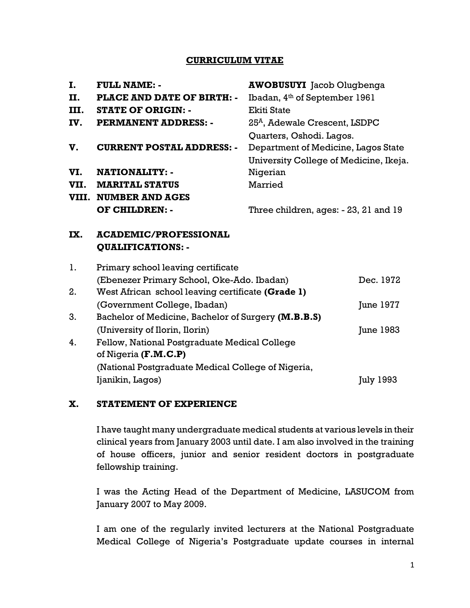#### CURRICULUM VITAE

| Ι.   | <b>FULL NAME: -</b>               | <b>AWOBUSUYI</b> Jacob Olugbenga          |
|------|-----------------------------------|-------------------------------------------|
| П.   | <b>PLACE AND DATE OF BIRTH: -</b> | Ibadan, 4th of September 1961             |
| III. | <b>STATE OF ORIGIN: -</b>         | Ekiti State                               |
| IV.  | <b>PERMANENT ADDRESS: -</b>       | 25 <sup>A</sup> , Adewale Crescent, LSDPC |
|      |                                   | Quarters, Oshodi. Lagos.                  |
| V.   | <b>CURRENT POSTAL ADDRESS: -</b>  | Department of Medicine, Lagos State       |
|      |                                   | University College of Medicine, Ikeja.    |
| VI.  | <b>NATIONALITY: -</b>             | Nigerian                                  |
| VII. | <b>MARITAL STATUS</b>             | Married                                   |
|      | VIII. NUMBER AND AGES             |                                           |
|      | OF CHILDREN: -                    | Three children, ages: - 23, 21 and 19     |
|      |                                   |                                           |

## IX. ACADEMIC/PROFESSIONAL QUALIFICATIONS: -

| 1. | Primary school leaving certificate                  |                  |
|----|-----------------------------------------------------|------------------|
|    | (Ebenezer Primary School, Oke-Ado. Ibadan)          | Dec. 1972        |
| 2. | West African school leaving certificate (Grade 1)   |                  |
|    | (Government College, Ibadan)                        | June 1977        |
| 3. | Bachelor of Medicine, Bachelor of Surgery (M.B.B.S) |                  |
|    | (University of Ilorin, Ilorin)                      | June 1983        |
| 4. | Fellow, National Postgraduate Medical College       |                  |
|    | of Nigeria (F.M.C.P)                                |                  |
|    | (National Postgraduate Medical College of Nigeria,  |                  |
|    | Ijanikin, Lagos)                                    | <b>July 1993</b> |
|    |                                                     |                  |

## X. STATEMENT OF EXPERIENCE

I have taught many undergraduate medical students at various levels in their clinical years from January 2003 until date. I am also involved in the training of house officers, junior and senior resident doctors in postgraduate fellowship training.

I was the Acting Head of the Department of Medicine, LASUCOM from January 2007 to May 2009.

I am one of the regularly invited lecturers at the National Postgraduate Medical College of Nigeria's Postgraduate update courses in internal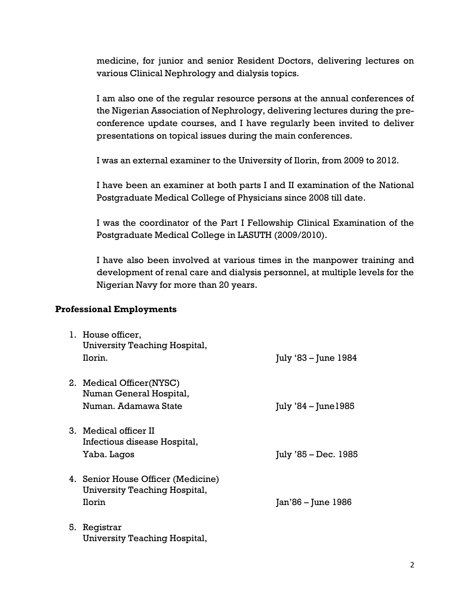medicine, for junior and senior Resident Doctors, delivering lectures on various Clinical Nephrology and dialysis topics.

I am also one of the regular resource persons at the annual conferences of the Nigerian Association of Nephrology, delivering lectures during the preconference update courses, and I have regularly been invited to deliver presentations on topical issues during the main conferences.

I was an external examiner to the University of Ilorin, from 2009 to 2012.

I have been an examiner at both parts I and II examination of the National Postgraduate Medical College of Physicians since 2008 till date.

I was the coordinator of the Part I Fellowship Clinical Examination of the Postgraduate Medical College in LASUTH (2009/2010).

I have also been involved at various times in the manpower training and development of renal care and dialysis personnel, at multiple levels for the Nigerian Navy for more than 20 years.

#### Professional Employments

|    | 1. House officer,<br>University Teaching Hospital,<br>Ilorin.                 | July '83 – June 1984   |
|----|-------------------------------------------------------------------------------|------------------------|
|    | 2. Medical Officer (NYSC)<br>Numan General Hospital,<br>Numan. Adamawa State  | July $34$ – June 1985  |
|    | 3. Medical officer II<br>Infectious disease Hospital,<br>Yaba. Lagos          | $July '85 - Dec. 1985$ |
|    | 4. Senior House Officer (Medicine)<br>University Teaching Hospital,<br>Ilorin | Jan'86 – June 1986     |
| 5. | Registrar<br>University Teaching Hospital,                                    |                        |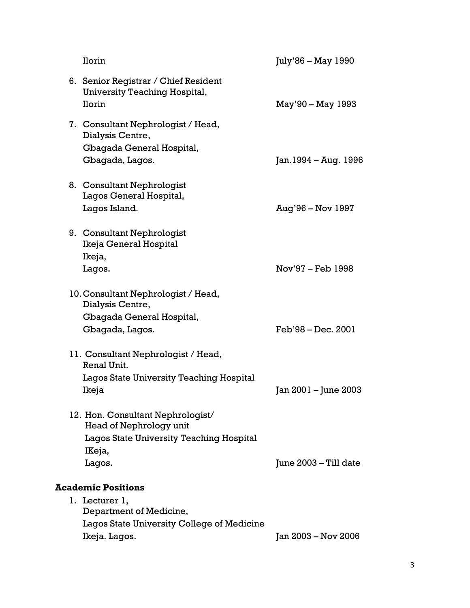| Ilorin                                                                                                             | July'86 – May 1990    |
|--------------------------------------------------------------------------------------------------------------------|-----------------------|
| 6. Senior Registrar / Chief Resident<br>University Teaching Hospital,<br>Ilorin                                    | May'90 – May 1993     |
| 7. Consultant Nephrologist / Head,<br>Dialysis Centre,<br>Gbagada General Hospital,<br>Gbagada, Lagos.             | Jan. 1994 – Aug. 1996 |
| 8. Consultant Nephrologist<br>Lagos General Hospital,<br>Lagos Island.                                             | Aug'96 - Nov 1997     |
| 9. Consultant Nephrologist<br>Ikeja General Hospital<br>Ikeja,<br>Lagos.                                           | Nov'97 – Feb 1998     |
| 10. Consultant Nephrologist / Head,<br>Dialysis Centre,                                                            |                       |
| Gbagada General Hospital,<br>Gbagada, Lagos.                                                                       | Feb'98 - Dec. 2001    |
| 11. Consultant Nephrologist / Head,<br>Renal Unit.                                                                 |                       |
| Lagos State University Teaching Hospital<br>Ikeja                                                                  | Jan 2001 – June 2003  |
| 12. Hon. Consultant Nephrologist/<br>Head of Nephrology unit<br>Lagos State University Teaching Hospital<br>IKeja, |                       |
| Lagos.                                                                                                             | June 2003 – Till date |
| <b>Academic Positions</b>                                                                                          |                       |
| 1. Lecturer 1,<br>Department of Medicine,                                                                          |                       |
| Lagos State University College of Medicine                                                                         |                       |
| Ikeja. Lagos.                                                                                                      | Jan 2003 - Nov 2006   |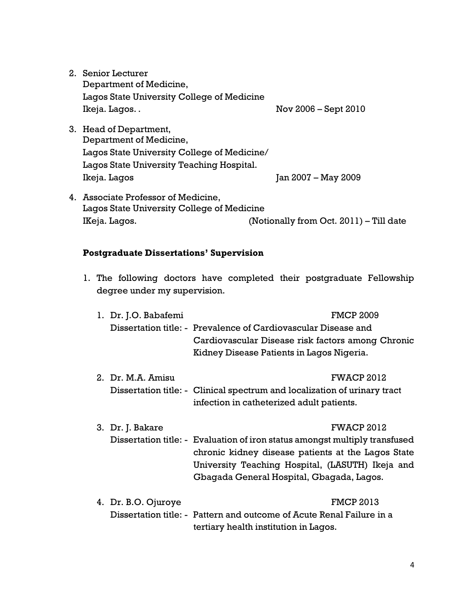2. Senior Lecturer Department of Medicine, Lagos State University College of Medicine Ikeja. Lagos. . Nov 2006 – Sept 2010

- 3. Head of Department, Department of Medicine, Lagos State University College of Medicine/ Lagos State University Teaching Hospital. Ikeja. Lagos Jan 2007 – May 2009
- 4. Associate Professor of Medicine, Lagos State University College of Medicine IKeja. Lagos. (Notionally from Oct. 2011) – Till date

#### Postgraduate Dissertations' Supervision

1. The following doctors have completed their postgraduate Fellowship degree under my supervision.

| 1. Dr. J.O. Babafemi | <b>FMCP 2009</b><br>Dissertation title: - Prevalence of Cardiovascular Disease and<br>Cardiovascular Disease risk factors among Chronic<br>Kidney Disease Patients in Lagos Nigeria.                                                                    |
|----------------------|---------------------------------------------------------------------------------------------------------------------------------------------------------------------------------------------------------------------------------------------------------|
| 2. Dr. M.A. Amisu    | <b>FWACP 2012</b><br>Dissertation title: - Clinical spectrum and localization of urinary tract<br>infection in catheterized adult patients.                                                                                                             |
| 3. Dr. J. Bakare     | <b>FWACP 2012</b><br>Dissertation title: - Evaluation of iron status amongst multiply transfused<br>chronic kidney disease patients at the Lagos State<br>University Teaching Hospital, (LASUTH) Ikeja and<br>Gbagada General Hospital, Gbagada, Lagos. |
| 4. Dr. B.O. Ojuroye  | <b>FMCP 2013</b><br>Dissertation title: - Pattern and outcome of Acute Renal Failure in a<br>tertiary health institution in Lagos.                                                                                                                      |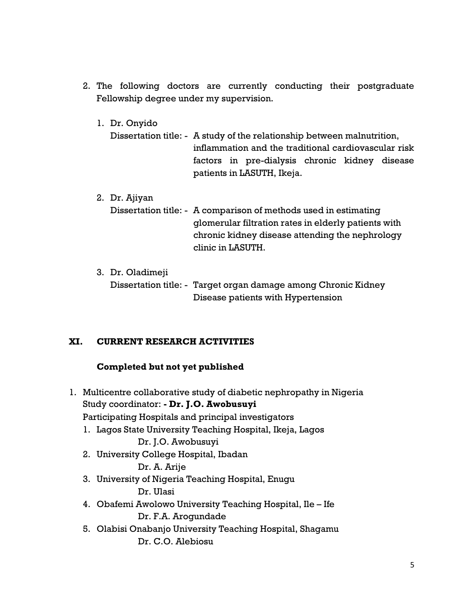- 2. The following doctors are currently conducting their postgraduate Fellowship degree under my supervision.
	- 1. Dr. Onyido
		- Dissertation title: A study of the relationship between malnutrition, inflammation and the traditional cardiovascular risk factors in pre-dialysis chronic kidney disease patients in LASUTH, Ikeja.
	- 2. Dr. Ajiyan Dissertation title: - A comparison of methods used in estimating glomerular filtration rates in elderly patients with chronic kidney disease attending the nephrology clinic in LASUTH.
	- 3. Dr. Oladimeji Dissertation title: - Target organ damage among Chronic Kidney Disease patients with Hypertension

## XI. CURRENT RESEARCH ACTIVITIES

## Completed but not yet published

1. Multicentre collaborative study of diabetic nephropathy in Nigeria Study coordinator: - Dr. J.O. Awobusuyi Participating Hospitals and principal investigators 1. Lagos State University Teaching Hospital, Ikeja, Lagos Dr. J.O. Awobusuyi 2. University College Hospital, Ibadan Dr. A. Arije 3. University of Nigeria Teaching Hospital, Enugu Dr. Ulasi 4. Obafemi Awolowo University Teaching Hospital, Ile – Ife Dr. F.A. Arogundade 5. Olabisi Onabanjo University Teaching Hospital, Shagamu Dr. C.O. Alebiosu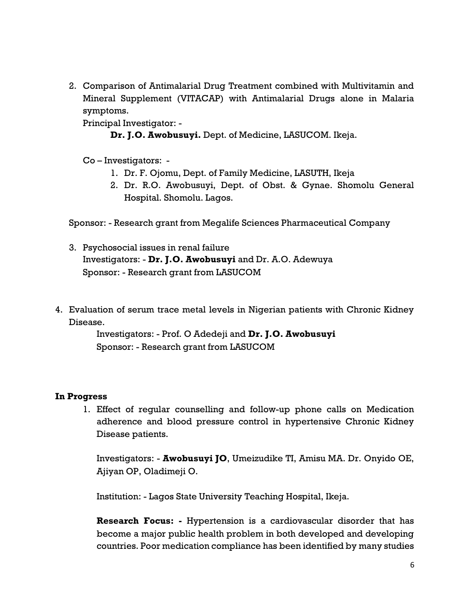2. Comparison of Antimalarial Drug Treatment combined with Multivitamin and Mineral Supplement (VITACAP) with Antimalarial Drugs alone in Malaria symptoms.

Principal Investigator: -

Dr. J.O. Awobusuyi. Dept. of Medicine, LASUCOM. Ikeja.

Co – Investigators: -

- 1. Dr. F. Ojomu, Dept. of Family Medicine, LASUTH, Ikeja
- 2. Dr. R.O. Awobusuyi, Dept. of Obst. & Gynae. Shomolu General Hospital. Shomolu. Lagos.

Sponsor: - Research grant from Megalife Sciences Pharmaceutical Company

- 3. Psychosocial issues in renal failure Investigators: - Dr. J.O. Awobusuyi and Dr. A.O. Adewuya Sponsor: - Research grant from LASUCOM
- 4. Evaluation of serum trace metal levels in Nigerian patients with Chronic Kidney Disease.

Investigators: - Prof. O Adedeji and Dr. J.O. Awobusuyi Sponsor: - Research grant from LASUCOM

## In Progress

1. Effect of regular counselling and follow-up phone calls on Medication adherence and blood pressure control in hypertensive Chronic Kidney Disease patients.

Investigators: - Awobusuyi JO, Umeizudike TI, Amisu MA. Dr. Onyido OE, Ajiyan OP, Oladimeji O.

Institution: - Lagos State University Teaching Hospital, Ikeja.

Research Focus: - Hypertension is a cardiovascular disorder that has become a major public health problem in both developed and developing countries. Poor medication compliance has been identified by many studies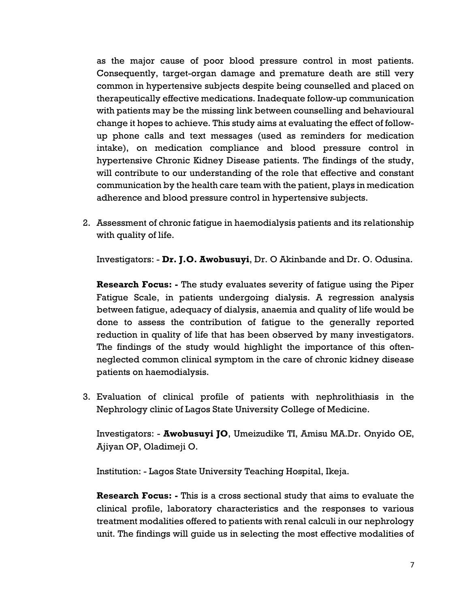as the major cause of poor blood pressure control in most patients. Consequently, target-organ damage and premature death are still very common in hypertensive subjects despite being counselled and placed on therapeutically effective medications. Inadequate follow-up communication with patients may be the missing link between counselling and behavioural change it hopes to achieve. This study aims at evaluating the effect of followup phone calls and text messages (used as reminders for medication intake), on medication compliance and blood pressure control in hypertensive Chronic Kidney Disease patients. The findings of the study, will contribute to our understanding of the role that effective and constant communication by the health care team with the patient, plays in medication adherence and blood pressure control in hypertensive subjects.

2. Assessment of chronic fatigue in haemodialysis patients and its relationship with quality of life.

Investigators: - Dr. J.O. Awobusuyi, Dr. O Akinbande and Dr. O. Odusina.

Research Focus: - The study evaluates severity of fatigue using the Piper Fatigue Scale, in patients undergoing dialysis. A regression analysis between fatigue, adequacy of dialysis, anaemia and quality of life would be done to assess the contribution of fatigue to the generally reported reduction in quality of life that has been observed by many investigators. The findings of the study would highlight the importance of this oftenneglected common clinical symptom in the care of chronic kidney disease patients on haemodialysis.

3. Evaluation of clinical profile of patients with nephrolithiasis in the Nephrology clinic of Lagos State University College of Medicine.

Investigators: - Awobusuyi JO, Umeizudike TI, Amisu MA.Dr. Onyido OE, Ajiyan OP, Oladimeji O.

Institution: - Lagos State University Teaching Hospital, Ikeja.

**Research Focus:** - This is a cross sectional study that aims to evaluate the clinical profile, laboratory characteristics and the responses to various treatment modalities offered to patients with renal calculi in our nephrology unit. The findings will guide us in selecting the most effective modalities of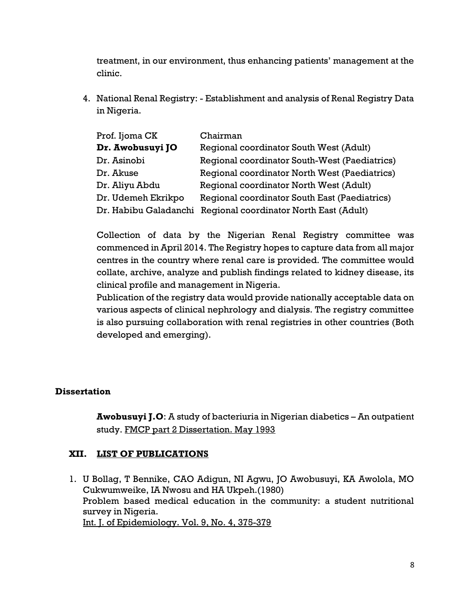treatment, in our environment, thus enhancing patients' management at the clinic.

4. National Renal Registry: - Establishment and analysis of Renal Registry Data in Nigeria.

| Prof. Ijoma CK        | Chairman                                      |
|-----------------------|-----------------------------------------------|
| Dr. Awobusuyi JO      | Regional coordinator South West (Adult)       |
| Dr. Asinobi           | Regional coordinator South-West (Paediatrics) |
| Dr. Akuse             | Regional coordinator North West (Paediatrics) |
| Dr. Aliyu Abdu        | Regional coordinator North West (Adult)       |
| Dr. Udemeh Ekrikpo    | Regional coordinator South East (Paediatrics) |
| Dr. Habibu Galadanchi | Regional coordinator North East (Adult)       |

Collection of data by the Nigerian Renal Registry committee was commenced in April 2014. The Registry hopes to capture data from all major centres in the country where renal care is provided. The committee would collate, archive, analyze and publish findings related to kidney disease, its clinical profile and management in Nigeria.

Publication of the registry data would provide nationally acceptable data on various aspects of clinical nephrology and dialysis. The registry committee is also pursuing collaboration with renal registries in other countries (Both developed and emerging).

## **Dissertation**

Awobusuyi J.O: A study of bacteriuria in Nigerian diabetics – An outpatient study. FMCP part 2 Dissertation. May 1993

## XII. LIST OF PUBLICATIONS

1. U Bollag, T Bennike, CAO Adigun, NI Agwu, JO Awobusuyi, KA Awolola, MO Cukwumweike, IA Nwosu and HA Ukpeh.(1980) Problem based medical education in the community: a student nutritional survey in Nigeria. Int. J. of Epidemiology. Vol. 9, No. 4, 375-379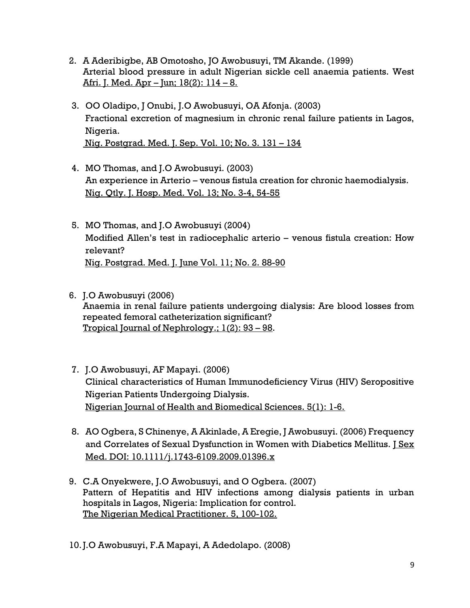- 2. A Aderibigbe, AB Omotosho, JO Awobusuyi, TM Akande. (1999) Arterial blood pressure in adult Nigerian sickle cell anaemia patients. West Afri. J. Med. Apr – Jun; 18(2): 114 – 8.
- 3. OO Oladipo, J Onubi, J.O Awobusuyi, OA Afonja. (2003) Fractional excretion of magnesium in chronic renal failure patients in Lagos, Nigeria. Nig. Postgrad. Med. J. Sep. Vol. 10; No. 3. 131 – 134
- 4. MO Thomas, and J.O Awobusuyi. (2003) An experience in Arterio – venous fistula creation for chronic haemodialysis. Nig. Qtly. J. Hosp. Med. Vol. 13; No. 3-4, 54-55
- 5. MO Thomas, and J.O Awobusuyi (2004) Modified Allen's test in radiocephalic arterio – venous fistula creation: How relevant? Nig. Postgrad. Med. J. June Vol. 11; No. 2. 88-90
- 6. J.O Awobusuyi (2006) Anaemia in renal failure patients undergoing dialysis: Are blood losses from repeated femoral catheterization significant? Tropical Journal of Nephrology.; 1(2): 93 – 98.
- 7. J.O Awobusuyi, AF Mapayi. (2006) Clinical characteristics of Human Immunodeficiency Virus (HIV) Seropositive Nigerian Patients Undergoing Dialysis. Nigerian Journal of Health and Biomedical Sciences. 5(1): 1-6.
- 8. AO Ogbera, S Chinenye, A Akinlade, A Eregie, J Awobusuyi. (2006) Frequency and Correlates of Sexual Dysfunction in Women with Diabetics Mellitus. J Sex Med. DOI: 10.1111/j.1743-6109.2009.01396.x
- 9. C.A Onyekwere, J.O Awobusuyi, and O Ogbera. (2007) Pattern of Hepatitis and HIV infections among dialysis patients in urban hospitals in Lagos, Nigeria: Implication for control. The Nigerian Medical Practitioner. 5, 100-102.

10.J.O Awobusuyi, F.A Mapayi, A Adedolapo. (2008)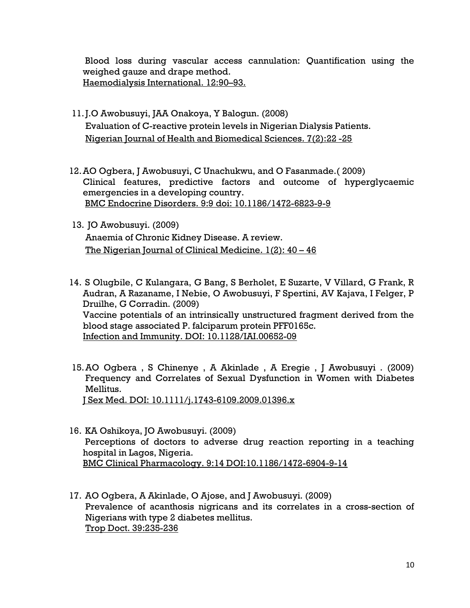Blood loss during vascular access cannulation: Quantification using the weighed gauze and drape method. Haemodialysis International. 12:90–93.

- 11.J.O Awobusuyi, JAA Onakoya, Y Balogun. (2008) Evaluation of C-reactive protein levels in Nigerian Dialysis Patients. Nigerian Journal of Health and Biomedical Sciences. 7(2):22 -25
- 12.AO Ogbera, J Awobusuyi, C Unachukwu, and O Fasanmade.( 2009) Clinical features, predictive factors and outcome of hyperglycaemic emergencies in a developing country. BMC Endocrine Disorders. 9:9 doi: 10.1186/1472-6823-9-9
- 13. JO Awobusuyi. (2009) Anaemia of Chronic Kidney Disease. A review. The Nigerian Journal of Clinical Medicine. 1(2): 40 – 46
- 14. S Olugbile, C Kulangara, G Bang, S Berholet, E Suzarte, V Villard, G Frank, R Audran, A Razaname, I Nebie, O Awobusuyi, F Spertini, AV Kajava, I Felger, P Druilhe, G Corradin. (2009) Vaccine potentials of an intrinsically unstructured fragment derived from the blood stage associated P. falciparum protein PFF0165c. Infection and Immunity. DOI: 10.1128/IAI.00652-09
- 15.AO Ogbera , S Chinenye , A Akinlade , A Eregie , J Awobusuyi . (2009) Frequency and Correlates of Sexual Dysfunction in Women with Diabetes Mellitus. J Sex Med. DOI: 10.1111/j.1743-6109.2009.01396.x
- 16. KA Oshikoya, JO Awobusuyi. (2009) Perceptions of doctors to adverse drug reaction reporting in a teaching hospital in Lagos, Nigeria. BMC Clinical Pharmacology. 9:14 DOI:10.1186/1472-6904-9-14
- 17. AO Ogbera, A Akinlade, O Ajose, and J Awobusuyi. (2009) Prevalence of acanthosis nigricans and its correlates in a cross-section of Nigerians with type 2 diabetes mellitus. Trop Doct. 39:235-236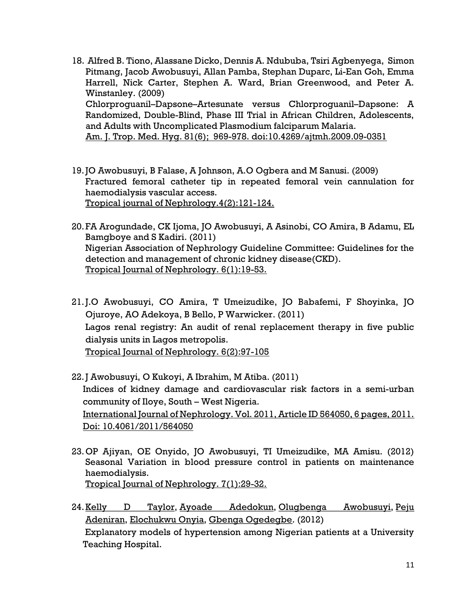- 18. Alfred B. Tiono, Alassane Dicko, Dennis A. Ndububa, Tsiri Agbenyega, Simon Pitmang, Jacob Awobusuyi, Allan Pamba, Stephan Duparc, Li-Ean Goh, Emma Harrell, Nick Carter, Stephen A. Ward, Brian Greenwood, and Peter A. Winstanley. (2009) Chlorproguanil–Dapsone–Artesunate versus Chlorproguanil–Dapsone: A Randomized, Double-Blind, Phase III Trial in African Children, Adolescents, and Adults with Uncomplicated Plasmodium falciparum Malaria. Am. J. Trop. Med. Hyg. 81(6); 969-978. doi:10.4269/ajtmh.2009.09-0351
- 19.JO Awobusuyi, B Falase, A Johnson, A.O Ogbera and M Sanusi. (2009)
- Fractured femoral catheter tip in repeated femoral vein cannulation for haemodialysis vascular access.

Tropical journal of Nephrology.4(2):121-124.

- 20.FA Arogundade, CK Ijoma, JO Awobusuyi, A Asinobi, CO Amira, B Adamu, EL Bamgboye and S Kadiri. (2011) Nigerian Association of Nephrology Guideline Committee: Guidelines for the detection and management of chronic kidney disease(CKD). Tropical Journal of Nephrology. 6(1):19-53.
- 21.J.O Awobusuyi, CO Amira, T Umeizudike, JO Babafemi, F Shoyinka, JO Ojuroye, AO Adekoya, B Bello, P Warwicker. (2011) Lagos renal registry: An audit of renal replacement therapy in five public dialysis units in Lagos metropolis. Tropical Journal of Nephrology. 6(2):97-105
- 22.J Awobusuyi, O Kukoyi, A Ibrahim, M Atiba. (2011) Indices of kidney damage and cardiovascular risk factors in a semi-urban community of Iloye, South – West Nigeria. International Journal of Nephrology. Vol. 2011, Article ID 564050, 6 pages, 2011. Doi: 10.4061/2011/564050
- 23.OP Ajiyan, OE Onyido, JO Awobusuyi, TI Umeizudike, MA Amisu. (2012) Seasonal Variation in blood pressure control in patients on maintenance haemodialysis. Tropical Journal of Nephrology. 7(1):29-32.
- 24.Kelly D Taylor, Ayoade Adedokun, Olugbenga Awobusuyi, Peju Adeniran, Elochukwu Onyia, Gbenga Ogedegbe. (2012) Explanatory models of hypertension among Nigerian patients at a University Teaching Hospital.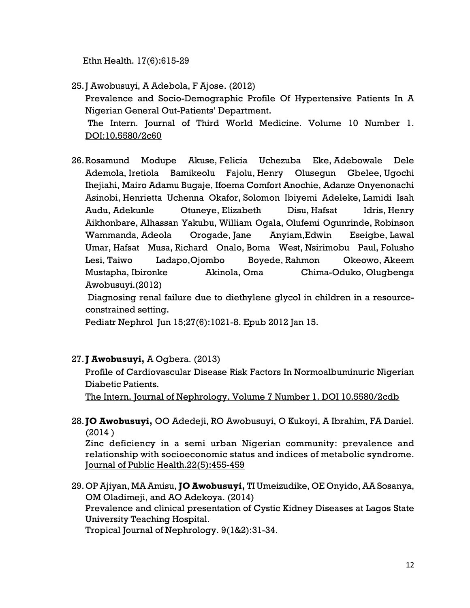Ethn Health. 17(6):615-29

- 25.J Awobusuyi, A Adebola, F Ajose. (2012) Prevalence and Socio-Demographic Profile Of Hypertensive Patients In A Nigerian General Out-Patients' Department. The Intern. Journal of Third World Medicine. Volume 10 Number 1. DOI:10.5580/2c60
- 26.Rosamund Modupe Akuse, Felicia Uchezuba Eke, Adebowale Dele Ademola, Iretiola Bamikeolu Fajolu, Henry Olusegun Gbelee, Ugochi Ihejiahi, Mairo Adamu Bugaje, Ifoema Comfort Anochie, Adanze Onyenonachi Asinobi, Henrietta Uchenna Okafor, Solomon Ibiyemi Adeleke, Lamidi Isah Audu, Adekunle Otuneye, Elizabeth Disu, Hafsat Idris, Henry Aikhonbare, Alhassan Yakubu, William Ogala, Olufemi Ogunrinde, Robinson Wammanda, Adeola Orogade, Jane Anyiam,Edwin Eseigbe, Lawal Umar, Hafsat Musa, Richard Onalo, Boma West, Nsirimobu Paul, Folusho Lesi, Taiwo Ladapo,Ojombo Boyede, Rahmon Okeowo, Akeem Mustapha, Ibironke Akinola, Oma Chima-Oduko, Olugbenga Awobusuyi.(2012)

 Diagnosing renal failure due to diethylene glycol in children in a resourceconstrained setting.

Pediatr Nephrol Jun 15;27(6):1021-8. Epub 2012 Jan 15.

#### 27. **J Awobusuyi**, A Ogbera. (2013)

Profile of Cardiovascular Disease Risk Factors In Normoalbuminuric Nigerian Diabetic Patients.

The Intern. Journal of Nephrology. Volume 7 Number 1. DOI 10.5580/2cdb

28. JO Awobusuyi, OO Adedeji, RO Awobusuyi, O Kukoyi, A Ibrahim, FA Daniel. (2014 )

Zinc deficiency in a semi urban Nigerian community: prevalence and relationship with socioeconomic status and indices of metabolic syndrome. Journal of Public Health.22(5):455-459

29. OP Ajiyan, MA Amisu, JO Awobusuyi, TI Umeizudike, OE Onyido, AA Sosanya, OM Oladimeji, and AO Adekoya. (2014) Prevalence and clinical presentation of Cystic Kidney Diseases at Lagos State University Teaching Hospital.

Tropical Journal of Nephrology. 9(1&2):31-34.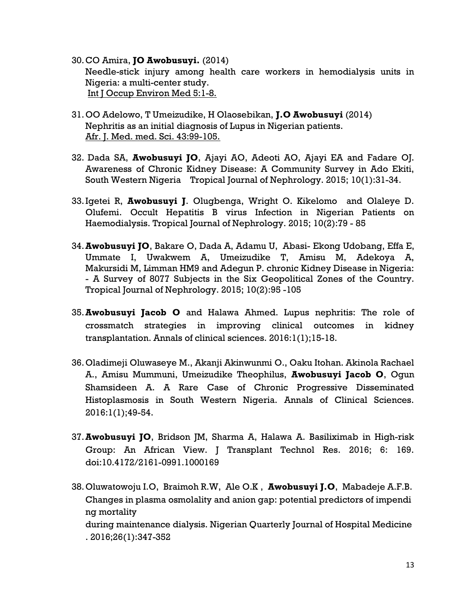- 30.CO Amira, JO Awobusuyi. (2014) Needle-stick injury among health care workers in hemodialysis units in Nigeria: a multi-center study. Int J Occup Environ Med 5:1-8.
- 31.OO Adelowo, T Umeizudike, H Olaosebikan, J.O Awobusuyi (2014) Nephritis as an initial diagnosis of Lupus in Nigerian patients. Afr. J. Med. med. Sci. 43:99-105.
- 32. Dada SA, Awobusuyi JO, Ajayi AO, Adeoti AO, Ajayi EA and Fadare OJ. Awareness of Chronic Kidney Disease: A Community Survey in Ado Ekiti, South Western Nigeria Tropical Journal of Nephrology. 2015; 10(1):31-34.
- 33. Igetei R, Awobusuyi J. Olugbenga, Wright O. Kikelomo and Olaleye D. Olufemi. Occult Hepatitis B virus Infection in Nigerian Patients on Haemodialysis. Tropical Journal of Nephrology. 2015; 10(2):79 - 85
- 34.Awobusuyi JO, Bakare O, Dada A, Adamu U, Abasi- Ekong Udobang, Effa E, Ummate I, Uwakwem A, Umeizudike T, Amisu M, Adekoya A, Makursidi M, Limman HM9 and Adegun P. chronic Kidney Disease in Nigeria: - A Survey of 8077 Subjects in the Six Geopolitical Zones of the Country. Tropical Journal of Nephrology. 2015; 10(2):95 -105
- 35.Awobusuyi Jacob O and Halawa Ahmed. Lupus nephritis: The role of crossmatch strategies in improving clinical outcomes in kidney transplantation. Annals of clinical sciences. 2016:1(1);15-18.
- 36.Oladimeji Oluwaseye M., Akanji Akinwunmi O., Oaku Itohan. Akinola Rachael A., Amisu Mummuni, Umeizudike Theophilus, Awobusuyi Jacob O, Ogun Shamsideen A. A Rare Case of Chronic Progressive Disseminated Histoplasmosis in South Western Nigeria. Annals of Clinical Sciences. 2016:1(1);49-54.
- 37.Awobusuyi JO, Bridson JM, Sharma A, Halawa A. Basiliximab in High-risk Group: An African View. J Transplant Technol Res. 2016; 6: 169. doi:10.4172/2161-0991.1000169
- 38.Oluwatowoju I.O, Braimoh R.W, Ale O.K , Awobusuyi J.O, Mabadeje A.F.B. Changes in plasma osmolality and anion gap: potential predictors of impendi ng mortality during maintenance dialysis. Nigerian Quarterly Journal of Hospital Medicine . 2016;26(1):347-352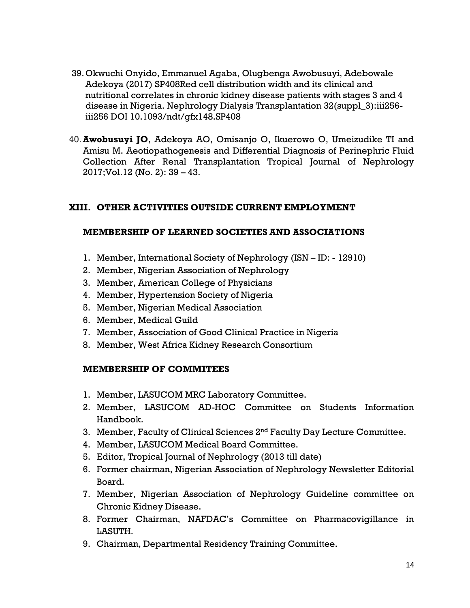- 39.Okwuchi Onyido, Emmanuel Agaba, Olugbenga Awobusuyi, Adebowale Adekoya (2017) SP408Red cell distribution width and its clinical and nutritional correlates in chronic kidney disease patients with stages 3 and 4 disease in Nigeria. Nephrology Dialysis Transplantation 32(suppl\_3):iii256 iii256 DOI 10.1093/ndt/gfx148.SP408
- 40.Awobusuyi JO, Adekoya AO, Omisanjo O, Ikuerowo O, Umeizudike TI and Amisu M. Aeotiopathogenesis and Differential Diagnosis of Perinephric Fluid Collection After Renal Transplantation Tropical Journal of Nephrology 2017;Vol.12 (No. 2): 39 – 43.

#### XIII. OTHER ACTIVITIES OUTSIDE CURRENT EMPLOYMENT

#### MEMBERSHIP OF LEARNED SOCIETIES AND ASSOCIATIONS

- 1. Member, International Society of Nephrology (ISN ID: 12910)
- 2. Member, Nigerian Association of Nephrology
- 3. Member, American College of Physicians
- 4. Member, Hypertension Society of Nigeria
- 5. Member, Nigerian Medical Association
- 6. Member, Medical Guild
- 7. Member, Association of Good Clinical Practice in Nigeria
- 8. Member, West Africa Kidney Research Consortium

#### MEMBERSHIP OF COMMITEES

- 1. Member, LASUCOM MRC Laboratory Committee.
- 2. Member, LASUCOM AD-HOC Committee on Students Information Handbook.
- 3. Member, Faculty of Clinical Sciences 2<sup>nd</sup> Faculty Day Lecture Committee.
- 4. Member, LASUCOM Medical Board Committee.
- 5. Editor, Tropical Journal of Nephrology (2013 till date)
- 6. Former chairman, Nigerian Association of Nephrology Newsletter Editorial Board.
- 7. Member, Nigerian Association of Nephrology Guideline committee on Chronic Kidney Disease.
- 8. Former Chairman, NAFDAC's Committee on Pharmacovigillance in LASUTH.
- 9. Chairman, Departmental Residency Training Committee.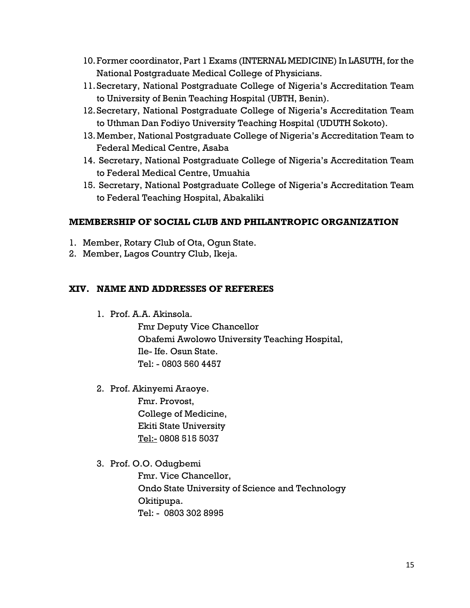- 10.Former coordinator, Part 1 Exams (INTERNAL MEDICINE) In LASUTH, for the National Postgraduate Medical College of Physicians.
- 11.Secretary, National Postgraduate College of Nigeria's Accreditation Team to University of Benin Teaching Hospital (UBTH, Benin).
- 12.Secretary, National Postgraduate College of Nigeria's Accreditation Team to Uthman Dan Fodiyo University Teaching Hospital (UDUTH Sokoto).
- 13.Member, National Postgraduate College of Nigeria's Accreditation Team to Federal Medical Centre, Asaba
- 14. Secretary, National Postgraduate College of Nigeria's Accreditation Team to Federal Medical Centre, Umuahia
- 15. Secretary, National Postgraduate College of Nigeria's Accreditation Team to Federal Teaching Hospital, Abakaliki

# MEMBERSHIP OF SOCIAL CLUB AND PHILANTROPIC ORGANIZATION

- 1. Member, Rotary Club of Ota, Ogun State.
- 2. Member, Lagos Country Club, Ikeja.

# XIV. NAME AND ADDRESSES OF REFEREES

1. Prof. A.A. Akinsola.

Fmr Deputy Vice Chancellor Obafemi Awolowo University Teaching Hospital, Ile- Ife. Osun State. Tel: - 0803 560 4457

2. Prof. Akinyemi Araoye.

Fmr. Provost, College of Medicine, Ekiti State University Tel:- 0808 515 5037

3. Prof. O.O. Odugbemi

Fmr. Vice Chancellor, Ondo State University of Science and Technology Okitipupa. Tel: - 0803 302 8995